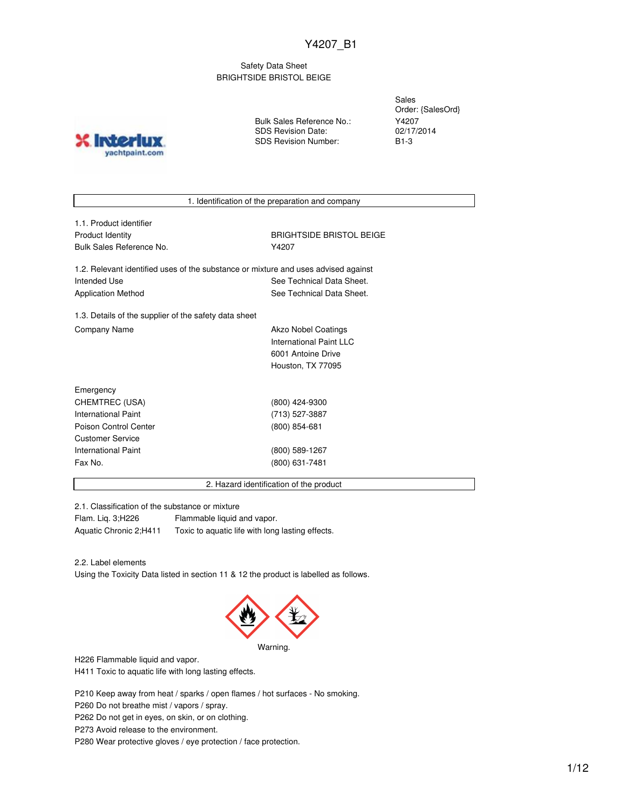## Safety Data Sheet BRIGHTSIDE BRISTOL BEIGE

**INICT** yachtpaint.com Bulk Sales Reference No.: SDS Revision Date: SDS Revision Number:

Sales Order: {SalesOrd} Y4207 02/17/2014 B1-3

1. Identification of the preparation and company

| 1.1. Product identifier  |  |
|--------------------------|--|
| Product Identity         |  |
| Bulk Sales Reference No. |  |

**BRIGHTSIDE BRISTOL BEIGE** Y4207

1.2. Relevant identified uses of the substance or mixture and uses advised against Intended Use **See Technical Data Sheet.** See Technical Data Sheet. Application Method **See Technical Data Sheet.** 

1.3. Details of the supplier of the safety data sheet Company Name **Akzo Nobel Coatings** Company Name

International Paint LLC 6001 Antoine Drive Houston, TX 77095

| Emergency             |                 |  |
|-----------------------|-----------------|--|
| CHEMTREC (USA)        | (800) 424-9300  |  |
| International Paint   | (713) 527-3887  |  |
| Poison Control Center | $(800)$ 854-681 |  |
| Customer Service      |                 |  |
| International Paint   | (800) 589-1267  |  |
| Fax No.               | (800) 631-7481  |  |
|                       |                 |  |

2. Hazard identification of the product

2.1. Classification of the substance or mixture

Flam. Liq. 3;H226 Flammable liquid and vapor. Aquatic Chronic 2;H411 Toxic to aquatic life with long lasting effects.

2.2. Label elements

Using the Toxicity Data listed in section 11 & 12 the product is labelled as follows.



Warning.

H226 Flammable liquid and vapor.

H411 Toxic to aquatic life with long lasting effects.

P210 Keep away from heat / sparks / open flames / hot surfaces - No smoking.

P260 Do not breathe mist / vapors / spray.

P262 Do not get in eyes, on skin, or on clothing.

P273 Avoid release to the environment.

P280 Wear protective gloves / eye protection / face protection.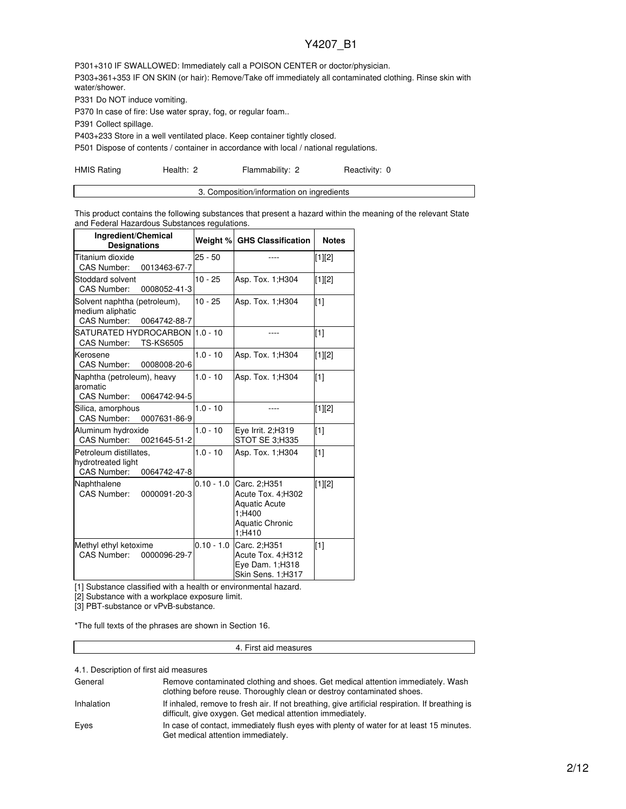P301+310 IF SWALLOWED: Immediately call a POISON CENTER or doctor/physician. P303+361+353 IF ON SKIN (or hair): Remove/Take off immediately all contaminated clothing. Rinse skin with water/shower.

P331 Do NOT induce vomiting.

P370 In case of fire: Use water spray, fog, or regular foam..

P391 Collect spillage.

P403+233 Store in a well ventilated place. Keep container tightly closed.

P501 Dispose of contents / container in accordance with local / national regulations.

HMIS Rating **Health: 2** Flammability: 2 Reactivity: 0

| 3. Composition/information on ingredients |
|-------------------------------------------|
|                                           |

This product contains the following substances that present a hazard within the meaning of the relevant State and Federal Hazardous Substances regulations.

| Ingredient/Chemical<br><b>Designations</b>                                             | Weight %     | <b>GHS Classification</b>                                                                               | <b>Notes</b> |
|----------------------------------------------------------------------------------------|--------------|---------------------------------------------------------------------------------------------------------|--------------|
| Titanium dioxide<br>0013463-67-7<br><b>CAS Number:</b>                                 | $25 - 50$    |                                                                                                         | $[1][2]$     |
| Stoddard solvent<br><b>CAS Number:</b><br>0008052-41-3                                 | $10 - 25$    | Asp. Tox. 1; H304                                                                                       | [1][2]       |
| Solvent naphtha (petroleum),<br>medium aliphatic<br><b>CAS Number:</b><br>0064742-88-7 | $10 - 25$    | Asp. Tox. 1; H304                                                                                       | [1]          |
| SATURATED HYDROCARBON<br><b>TS-KS6505</b><br><b>CAS Number:</b>                        | $1.0 - 10$   |                                                                                                         | $[1]$        |
| Kerosene<br><b>CAS Number:</b><br>0008008-20-6                                         | $1.0 - 10$   | Asp. Tox. 1; H304                                                                                       | [1][2]       |
| Naphtha (petroleum), heavy<br>aromatic<br>CAS Number:<br>0064742-94-5                  | $1.0 - 10$   | Asp. Tox. 1; H304                                                                                       | $\sqrt{11}$  |
| Silica, amorphous<br>CAS Number:<br>0007631-86-9                                       | $1.0 - 10$   | ----                                                                                                    | $[1][2]$     |
| Aluminum hydroxide<br><b>CAS Number:</b><br>0021645-51-2                               | $1.0 - 10$   | Eve Irrit. 2:H319<br>STOT SE 3:H335                                                                     | $\sqrt{11}$  |
| Petroleum distillates,<br>hydrotreated light<br><b>CAS Number:</b><br>0064742-47-8     | $1.0 - 10$   | Asp. Tox. 1; H304                                                                                       | $\sqrt{11}$  |
| Naphthalene<br><b>CAS Number:</b><br>0000091-20-3                                      | $0.10 - 1.0$ | Carc. 2;H351<br>Acute Tox. 4;H302<br><b>Aquatic Acute</b><br>1;H400<br><b>Aquatic Chronic</b><br>1;H410 | $[1][2]$     |
| Methyl ethyl ketoxime<br>CAS Number:<br>0000096-29-7                                   | $0.10 - 1.0$ | Carc. 2;H351<br>Acute Tox. 4;H312<br>Eye Dam. 1;H318<br>Skin Sens. 1;H317                               | [1]          |

[1] Substance classified with a health or environmental hazard.

[2] Substance with a workplace exposure limit.

[3] PBT-substance or vPvB-substance.

\*The full texts of the phrases are shown in Section 16.

### 4. First aid measures

4.1. Description of first aid measures

| General    | Remove contaminated clothing and shoes. Get medical attention immediately. Wash<br>clothing before reuse. Thoroughly clean or destroy contaminated shoes.     |
|------------|---------------------------------------------------------------------------------------------------------------------------------------------------------------|
| Inhalation | If inhaled, remove to fresh air. If not breathing, give artificial respiration. If breathing is<br>difficult, give oxygen. Get medical attention immediately. |
| Eyes       | In case of contact, immediately flush eyes with plenty of water for at least 15 minutes.<br>Get medical attention immediately.                                |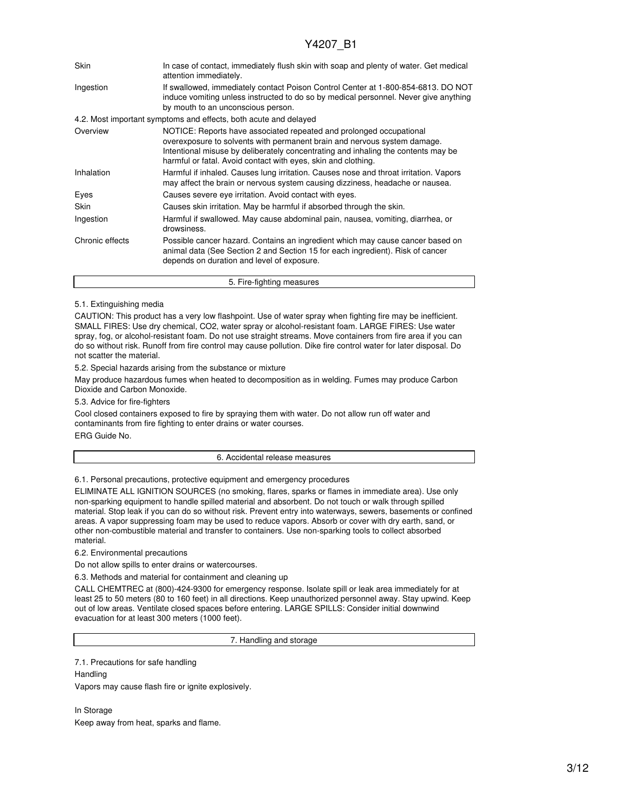| Skin            | In case of contact, immediately flush skin with soap and plenty of water. Get medical<br>attention immediately.                                                                                                                                                                                       |
|-----------------|-------------------------------------------------------------------------------------------------------------------------------------------------------------------------------------------------------------------------------------------------------------------------------------------------------|
| Ingestion       | If swallowed, immediately contact Poison Control Center at 1-800-854-6813. DO NOT<br>induce vomiting unless instructed to do so by medical personnel. Never give anything<br>by mouth to an unconscious person.                                                                                       |
|                 | 4.2. Most important symptoms and effects, both acute and delayed                                                                                                                                                                                                                                      |
| Overview        | NOTICE: Reports have associated repeated and prolonged occupational<br>overexposure to solvents with permanent brain and nervous system damage.<br>Intentional misuse by deliberately concentrating and inhaling the contents may be<br>harmful or fatal. Avoid contact with eyes, skin and clothing. |
| Inhalation      | Harmful if inhaled. Causes lung irritation. Causes nose and throat irritation. Vapors<br>may affect the brain or nervous system causing dizziness, headache or nausea.                                                                                                                                |
| Eyes            | Causes severe eye irritation. Avoid contact with eyes.                                                                                                                                                                                                                                                |
| Skin            | Causes skin irritation. May be harmful if absorbed through the skin.                                                                                                                                                                                                                                  |
| Ingestion       | Harmful if swallowed. May cause abdominal pain, nausea, vomiting, diarrhea, or<br>drowsiness.                                                                                                                                                                                                         |
| Chronic effects | Possible cancer hazard. Contains an ingredient which may cause cancer based on<br>animal data (See Section 2 and Section 15 for each ingredient). Risk of cancer<br>depends on duration and level of exposure.                                                                                        |
|                 | 5. Fire-fighting measures                                                                                                                                                                                                                                                                             |

### 5.1. Extinguishing media

CAUTION: This product has a very low flashpoint. Use of water spray when fighting fire may be inefficient. SMALL FIRES: Use dry chemical, CO2, water spray or alcohol-resistant foam. LARGE FIRES: Use water spray, fog, or alcohol-resistant foam. Do not use straight streams. Move containers from fire area if you can do so without risk. Runoff from fire control may cause pollution. Dike fire control water for later disposal. Do not scatter the material.

5.2. Special hazards arising from the substance or mixture

May produce hazardous fumes when heated to decomposition as in welding. Fumes may produce Carbon Dioxide and Carbon Monoxide.

5.3. Advice for fire-fighters

Cool closed containers exposed to fire by spraying them with water. Do not allow run off water and contaminants from fire fighting to enter drains or water courses. ERG Guide No.

#### 6. Accidental release measures

6.1. Personal precautions, protective equipment and emergency procedures

ELIMINATE ALL IGNITION SOURCES (no smoking, flares, sparks or flames in immediate area). Use only non-sparking equipment to handle spilled material and absorbent. Do not touch or walk through spilled material. Stop leak if you can do so without risk. Prevent entry into waterways, sewers, basements or confined areas. A vapor suppressing foam may be used to reduce vapors. Absorb or cover with dry earth, sand, or other non-combustible material and transfer to containers. Use non-sparking tools to collect absorbed material.

6.2. Environmental precautions

Do not allow spills to enter drains or watercourses.

6.3. Methods and material for containment and cleaning up

CALL CHEMTREC at (800)-424-9300 for emergency response. Isolate spill or leak area immediately for at least 25 to 50 meters (80 to 160 feet) in all directions. Keep unauthorized personnel away. Stay upwind. Keep out of low areas. Ventilate closed spaces before entering. LARGE SPILLS: Consider initial downwind evacuation for at least 300 meters (1000 feet).

7. Handling and storage

7.1. Precautions for safe handling

**Handling** Vapors may cause flash fire or ignite explosively.

In Storage Keep away from heat, sparks and flame.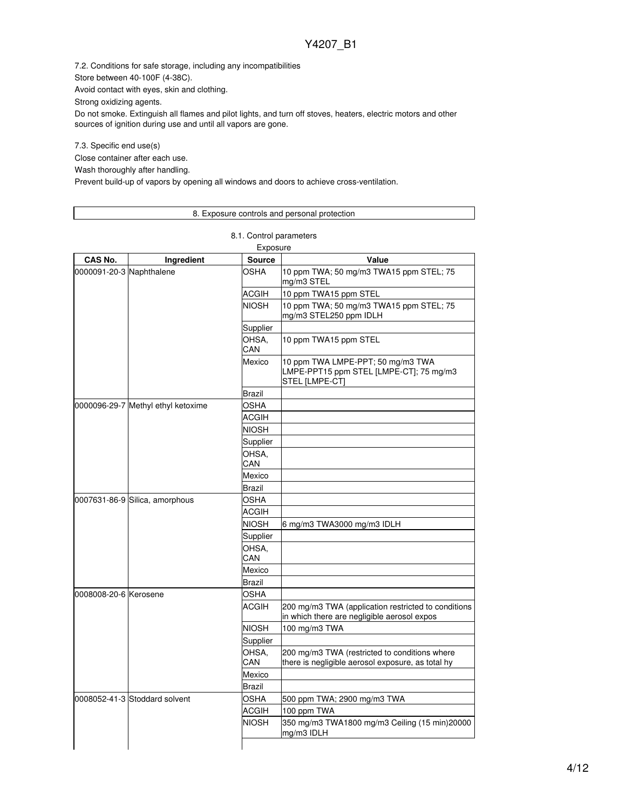7.2. Conditions for safe storage, including any incompatibilities

Store between 40-100F (4-38C).

Avoid contact with eyes, skin and clothing.

Strong oxidizing agents.

Do not smoke. Extinguish all flames and pilot lights, and turn off stoves, heaters, electric motors and other sources of ignition during use and until all vapors are gone.

7.3. Specific end use(s)

Close container after each use.

Wash thoroughly after handling.

Prevent build-up of vapors by opening all windows and doors to achieve cross-ventilation.

## 8. Exposure controls and personal protection

8.1. Control parameters

| Exposure                 |                                    |               |                                                                                                    |  |
|--------------------------|------------------------------------|---------------|----------------------------------------------------------------------------------------------------|--|
| CAS No.                  | Ingredient                         | <b>Source</b> | Value                                                                                              |  |
| 0000091-20-3 Naphthalene |                                    | OSHA          | 10 ppm TWA; 50 mg/m3 TWA15 ppm STEL; 75<br>mg/m3 STEL                                              |  |
|                          |                                    | ACGIH         | 10 ppm TWA15 ppm STEL                                                                              |  |
|                          |                                    | <b>NIOSH</b>  | 10 ppm TWA; 50 mg/m3 TWA15 ppm STEL; 75<br>mg/m3 STEL250 ppm IDLH                                  |  |
|                          |                                    | Supplier      |                                                                                                    |  |
|                          |                                    | OHSA.<br>CAN  | 10 ppm TWA15 ppm STEL                                                                              |  |
|                          |                                    | Mexico        | 10 ppm TWA LMPE-PPT; 50 mg/m3 TWA<br>LMPE-PPT15 ppm STEL [LMPE-CT]; 75 mg/m3<br>STEL [LMPE-CT]     |  |
|                          |                                    | Brazil        |                                                                                                    |  |
|                          | 0000096-29-7 Methyl ethyl ketoxime | OSHA          |                                                                                                    |  |
|                          |                                    | <b>ACGIH</b>  |                                                                                                    |  |
|                          |                                    | <b>NIOSH</b>  |                                                                                                    |  |
|                          |                                    | Supplier      |                                                                                                    |  |
|                          |                                    | OHSA.<br>CAN  |                                                                                                    |  |
|                          |                                    | Mexico        |                                                                                                    |  |
|                          |                                    | Brazil        |                                                                                                    |  |
|                          | 0007631-86-9 Silica, amorphous     | OSHA          |                                                                                                    |  |
|                          |                                    | <b>ACGIH</b>  |                                                                                                    |  |
|                          |                                    | <b>NIOSH</b>  | 6 mg/m3 TWA3000 mg/m3 IDLH                                                                         |  |
|                          |                                    | Supplier      |                                                                                                    |  |
|                          |                                    | OHSA,<br>CAN  |                                                                                                    |  |
|                          |                                    | Mexico        |                                                                                                    |  |
|                          |                                    | Brazil        |                                                                                                    |  |
| 0008008-20-6 Kerosene    |                                    | <b>OSHA</b>   |                                                                                                    |  |
|                          |                                    | ACGIH         | 200 mg/m3 TWA (application restricted to conditions<br>in which there are negligible aerosol expos |  |
|                          |                                    | <b>NIOSH</b>  | 100 mg/m3 TWA                                                                                      |  |
|                          |                                    | Supplier      |                                                                                                    |  |
|                          |                                    | OHSA,<br>CAN  | 200 mg/m3 TWA (restricted to conditions where<br>there is negligible aerosol exposure, as total hy |  |
|                          |                                    | Mexico        |                                                                                                    |  |
|                          |                                    | <b>Brazil</b> |                                                                                                    |  |
|                          | 0008052-41-3 Stoddard solvent      | OSHA          | 500 ppm TWA; 2900 mg/m3 TWA                                                                        |  |
|                          |                                    | ACGIH         | 100 ppm TWA                                                                                        |  |
|                          |                                    | <b>NIOSH</b>  | 350 mg/m3 TWA1800 mg/m3 Ceiling (15 min)20000<br>mg/m3 IDLH                                        |  |
|                          |                                    |               |                                                                                                    |  |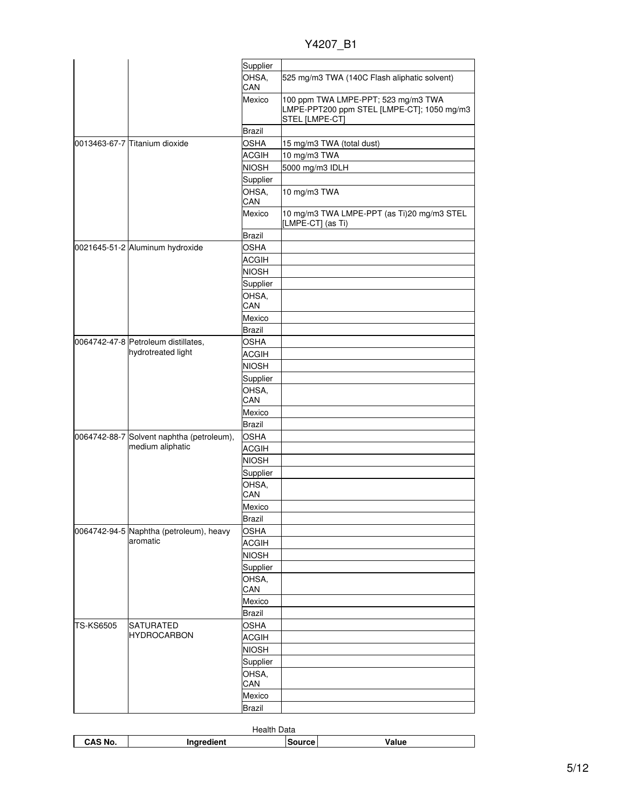| Y4207 |  |
|-------|--|
|       |  |

|                  |                                                           | Supplier                    |                                                                                                     |
|------------------|-----------------------------------------------------------|-----------------------------|-----------------------------------------------------------------------------------------------------|
|                  |                                                           | OHSA,<br>CAN                | 525 mg/m3 TWA (140C Flash aliphatic solvent)                                                        |
|                  |                                                           | Mexico                      | 100 ppm TWA LMPE-PPT; 523 mg/m3 TWA<br>LMPE-PPT200 ppm STEL [LMPE-CT]; 1050 mg/m3<br>STEL [LMPE-CT] |
|                  |                                                           | Brazil                      |                                                                                                     |
|                  | 0013463-67-7 Titanium dioxide                             | OSHA                        | 15 mg/m3 TWA (total dust)                                                                           |
|                  |                                                           | <b>ACGIH</b>                | 10 mg/m3 TWA                                                                                        |
|                  |                                                           | <b>NIOSH</b>                | 5000 mg/m3 IDLH                                                                                     |
|                  |                                                           | Supplier                    |                                                                                                     |
|                  |                                                           | OHSA,                       | 10 mg/m3 TWA                                                                                        |
|                  |                                                           | CAN                         |                                                                                                     |
|                  |                                                           | Mexico                      | 10 mg/m3 TWA LMPE-PPT (as Ti)20 mg/m3 STEL<br>[LMPE-CT] (as Ti)                                     |
|                  |                                                           | Brazil                      |                                                                                                     |
|                  | 0021645-51-2 Aluminum hydroxide                           | <b>OSHA</b>                 |                                                                                                     |
|                  |                                                           | ACGIH                       |                                                                                                     |
|                  |                                                           | <b>NIOSH</b>                |                                                                                                     |
|                  |                                                           | Supplier                    |                                                                                                     |
|                  |                                                           | OHSA,                       |                                                                                                     |
|                  |                                                           | CAN                         |                                                                                                     |
|                  |                                                           | Mexico                      |                                                                                                     |
|                  |                                                           | Brazil                      |                                                                                                     |
|                  | 0064742-47-8 Petroleum distillates,<br>hydrotreated light | <b>OSHA</b><br><b>ACGIH</b> |                                                                                                     |
|                  |                                                           | <b>NIOSH</b>                |                                                                                                     |
|                  |                                                           | Supplier                    |                                                                                                     |
|                  |                                                           | OHSA,<br>CAN                |                                                                                                     |
|                  |                                                           | Mexico                      |                                                                                                     |
|                  |                                                           | <b>Brazil</b>               |                                                                                                     |
|                  | 0064742-88-7 Solvent naphtha (petroleum),                 | <b>OSHA</b>                 |                                                                                                     |
|                  | medium aliphatic                                          | <b>ACGIH</b>                |                                                                                                     |
|                  |                                                           | <b>NIOSH</b>                |                                                                                                     |
|                  |                                                           | Supplier                    |                                                                                                     |
|                  |                                                           | OHSA,                       |                                                                                                     |
|                  |                                                           | CAN                         |                                                                                                     |
|                  |                                                           | Mexico                      |                                                                                                     |
|                  |                                                           | <b>Brazil</b>               |                                                                                                     |
|                  | 0064742-94-5 Naphtha (petroleum), heavy                   | <b>OSHA</b>                 |                                                                                                     |
|                  | aromatic                                                  | <b>ACGIH</b>                |                                                                                                     |
|                  |                                                           | <b>NIOSH</b>                |                                                                                                     |
|                  |                                                           | Supplier                    |                                                                                                     |
|                  |                                                           | OHSA,<br>CAN                |                                                                                                     |
|                  |                                                           | Mexico                      |                                                                                                     |
|                  |                                                           | <b>Brazil</b>               |                                                                                                     |
| <b>TS-KS6505</b> | <b>SATURATED</b>                                          | <b>OSHA</b>                 |                                                                                                     |
|                  | <b>HYDROCARBON</b>                                        | <b>ACGIH</b>                |                                                                                                     |
|                  |                                                           | <b>NIOSH</b>                |                                                                                                     |
|                  |                                                           | Supplier                    |                                                                                                     |
|                  |                                                           | OHSA,                       |                                                                                                     |
|                  |                                                           | CAN                         |                                                                                                     |
|                  |                                                           | Mexico                      |                                                                                                     |
|                  |                                                           | <b>Brazil</b>               |                                                                                                     |

|         | Data<br>Health |        |       |
|---------|----------------|--------|-------|
| CAS No. | ੋ"°≏dient      | inurce | Value |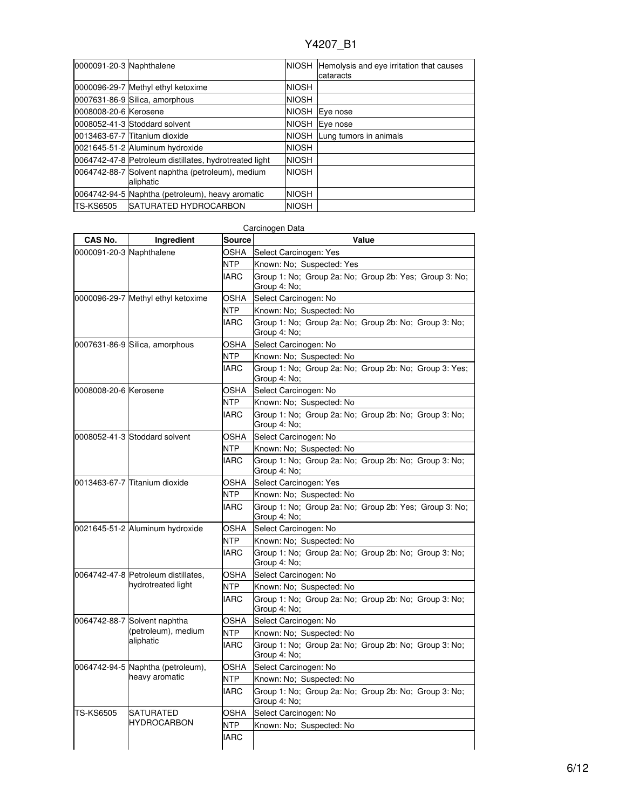| 0000091-20-3 Naphthalene |                                                               |              | NIOSH Hemolysis and eye irritation that causes<br>cataracts |
|--------------------------|---------------------------------------------------------------|--------------|-------------------------------------------------------------|
|                          | 0000096-29-7 Methyl ethyl ketoxime                            | <b>NIOSH</b> |                                                             |
|                          | 0007631-86-9 Silica, amorphous                                | <b>NIOSH</b> |                                                             |
| 0008008-20-6 Kerosene    |                                                               | <b>NIOSH</b> | Eye nose                                                    |
|                          | 0008052-41-3 Stoddard solvent                                 | <b>NIOSH</b> | Eye nose                                                    |
|                          | 0013463-67-7 Titanium dioxide                                 | <b>NIOSH</b> | Lung tumors in animals                                      |
|                          | 0021645-51-2 Aluminum hydroxide                               | <b>NIOSH</b> |                                                             |
|                          | 0064742-47-8 Petroleum distillates, hydrotreated light        | <b>NIOSH</b> |                                                             |
|                          | 0064742-88-7 Solvent naphtha (petroleum), medium<br>aliphatic | <b>NIOSH</b> |                                                             |
|                          | 0064742-94-5 Naphtha (petroleum), heavy aromatic              | <b>NIOSH</b> |                                                             |
| <b>TS-KS6505</b>         | <b>ISATURATED HYDROCARBON</b>                                 | <b>NIOSH</b> |                                                             |

| <b>CAS No.</b>           | Ingredient                                                                                            | <b>Source</b> | Value                                                                  |
|--------------------------|-------------------------------------------------------------------------------------------------------|---------------|------------------------------------------------------------------------|
| 0000091-20-3 Naphthalene |                                                                                                       | OSHA          | Select Carcinogen: Yes                                                 |
|                          |                                                                                                       | NTP           | Known: No; Suspected: Yes                                              |
|                          |                                                                                                       | <b>IARC</b>   | Group 1: No; Group 2a: No; Group 2b: Yes; Group 3: No;<br>Group 4: No: |
|                          | 0000096-29-7 Methyl ethyl ketoxime                                                                    | <b>OSHA</b>   | Select Carcinogen: No                                                  |
|                          |                                                                                                       | NTP           | Known: No; Suspected: No                                               |
|                          |                                                                                                       | <b>IARC</b>   | Group 1: No; Group 2a: No; Group 2b: No; Group 3: No;<br>Group 4: No:  |
|                          | 0007631-86-9 Silica, amorphous                                                                        | OSHA          | Select Carcinogen: No                                                  |
|                          |                                                                                                       | <b>NTP</b>    | Known: No; Suspected: No                                               |
|                          |                                                                                                       | <b>IARC</b>   | Group 1: No: Group 2a: No: Group 2b: No: Group 3: Yes:<br>Group 4: No; |
| 0008008-20-6 Kerosene    |                                                                                                       | OSHA          | Select Carcinogen: No                                                  |
|                          |                                                                                                       | <b>NTP</b>    | Known: No; Suspected: No                                               |
|                          |                                                                                                       | <b>IARC</b>   | Group 1: No; Group 2a: No; Group 2b: No; Group 3: No;<br>Group 4: No;  |
|                          | 0008052-41-3 Stoddard solvent                                                                         | OSHA          | Select Carcinogen: No                                                  |
|                          |                                                                                                       | NTP           | Known: No; Suspected: No                                               |
|                          |                                                                                                       | <b>IARC</b>   | Group 1: No; Group 2a: No; Group 2b: No; Group 3: No;<br>Group 4: No:  |
|                          | 0013463-67-7 Titanium dioxide                                                                         | OSHA          | Select Carcinogen: Yes                                                 |
|                          |                                                                                                       | <b>NTP</b>    | Known: No; Suspected: No                                               |
|                          |                                                                                                       | <b>IARC</b>   | Group 1: No; Group 2a: No; Group 2b: Yes; Group 3: No;<br>Group 4: No; |
|                          | 0021645-51-2 Aluminum hydroxide                                                                       | OSHA          | Select Carcinogen: No                                                  |
|                          |                                                                                                       | NTP           | Known: No; Suspected: No                                               |
|                          |                                                                                                       | <b>IARC</b>   | Group 1: No; Group 2a: No; Group 2b: No; Group 3: No;<br>Group 4: No;  |
|                          | 0064742-47-8 Petroleum distillates,                                                                   | OSHA          | Select Carcinogen: No                                                  |
|                          | hydrotreated light                                                                                    | <b>NTP</b>    | Known: No; Suspected: No                                               |
|                          |                                                                                                       | <b>IARC</b>   | Group 1: No; Group 2a: No; Group 2b: No; Group 3: No;<br>Group 4: No;  |
|                          | 0064742-88-7 Solvent naphtha<br>OSHA<br>(petroleum), medium<br><b>NTP</b><br>aliphatic<br><b>IARC</b> |               | Select Carcinogen: No                                                  |
|                          |                                                                                                       |               | Known: No; Suspected: No                                               |
|                          |                                                                                                       |               | Group 1: No; Group 2a: No; Group 2b: No; Group 3: No;<br>Group 4: No:  |
|                          | 0064742-94-5 Naphtha (petroleum),                                                                     | OSHA          | Select Carcinogen: No                                                  |
|                          | heavy aromatic                                                                                        | NTP           | Known: No; Suspected: No                                               |
|                          |                                                                                                       | <b>IARC</b>   | Group 1: No; Group 2a: No; Group 2b: No; Group 3: No;<br>Group 4: No;  |
| TS-KS6505                | <b>SATURATED</b>                                                                                      | OSHA          | Select Carcinogen: No                                                  |
|                          | <b>HYDROCARBON</b>                                                                                    | <b>NTP</b>    | Known: No; Suspected: No                                               |
|                          |                                                                                                       | <b>IARC</b>   |                                                                        |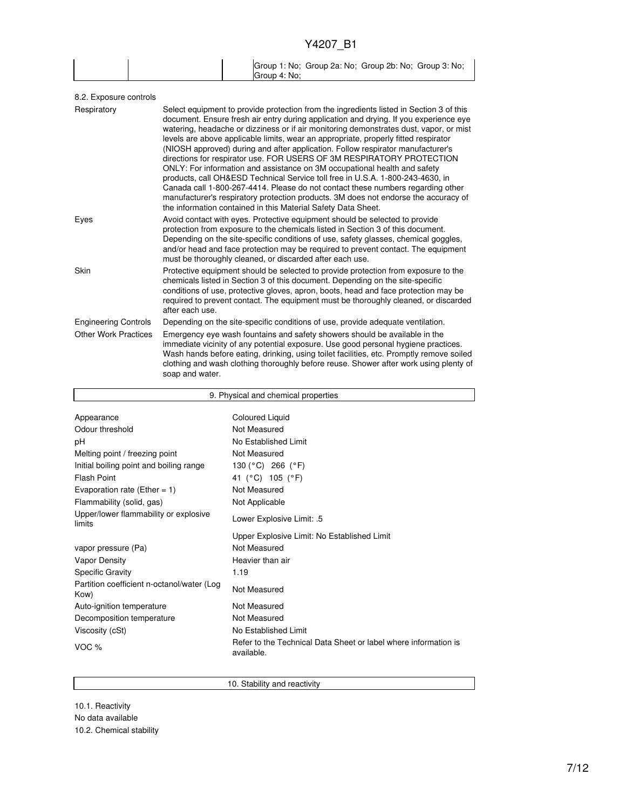|  |              | Group 1: No; Group 2a: No; Group 2b: No; Group 3: No; |  |
|--|--------------|-------------------------------------------------------|--|
|  | Group 4: No: |                                                       |  |

| Select equipment to provide protection from the ingredients listed in Section 3 of this<br>document. Ensure fresh air entry during application and drying. If you experience eye<br>watering, headache or dizziness or if air monitoring demonstrates dust, vapor, or mist<br>levels are above applicable limits, wear an appropriate, properly fitted respirator<br>(NIOSH approved) during and after application. Follow respirator manufacturer's<br>directions for respirator use. FOR USERS OF 3M RESPIRATORY PROTECTION<br>ONLY: For information and assistance on 3M occupational health and safety<br>products, call OH&ESD Technical Service toll free in U.S.A. 1-800-243-4630, in<br>Canada call 1-800-267-4414. Please do not contact these numbers regarding other<br>manufacturer's respiratory protection products. 3M does not endorse the accuracy of<br>the information contained in this Material Safety Data Sheet. |
|-----------------------------------------------------------------------------------------------------------------------------------------------------------------------------------------------------------------------------------------------------------------------------------------------------------------------------------------------------------------------------------------------------------------------------------------------------------------------------------------------------------------------------------------------------------------------------------------------------------------------------------------------------------------------------------------------------------------------------------------------------------------------------------------------------------------------------------------------------------------------------------------------------------------------------------------|
| Avoid contact with eyes. Protective equipment should be selected to provide<br>protection from exposure to the chemicals listed in Section 3 of this document.<br>Depending on the site-specific conditions of use, safety glasses, chemical goggles,<br>and/or head and face protection may be required to prevent contact. The equipment<br>must be thoroughly cleaned, or discarded after each use.                                                                                                                                                                                                                                                                                                                                                                                                                                                                                                                                  |
| Protective equipment should be selected to provide protection from exposure to the<br>chemicals listed in Section 3 of this document. Depending on the site-specific<br>conditions of use, protective gloves, apron, boots, head and face protection may be<br>required to prevent contact. The equipment must be thoroughly cleaned, or discarded<br>after each use.                                                                                                                                                                                                                                                                                                                                                                                                                                                                                                                                                                   |
| Depending on the site-specific conditions of use, provide adequate ventilation.                                                                                                                                                                                                                                                                                                                                                                                                                                                                                                                                                                                                                                                                                                                                                                                                                                                         |
| Emergency eye wash fountains and safety showers should be available in the<br>immediate vicinity of any potential exposure. Use good personal hygiene practices.<br>Wash hands before eating, drinking, using toilet facilities, etc. Promptly remove soiled<br>clothing and wash clothing thoroughly before reuse. Shower after work using plenty of<br>soap and water.                                                                                                                                                                                                                                                                                                                                                                                                                                                                                                                                                                |
|                                                                                                                                                                                                                                                                                                                                                                                                                                                                                                                                                                                                                                                                                                                                                                                                                                                                                                                                         |

| 9. Physical and chemical properties                |                                                                               |  |  |  |  |
|----------------------------------------------------|-------------------------------------------------------------------------------|--|--|--|--|
|                                                    |                                                                               |  |  |  |  |
| Appearance                                         | <b>Coloured Liquid</b>                                                        |  |  |  |  |
| Odour threshold                                    | Not Measured                                                                  |  |  |  |  |
| рH                                                 | No Established Limit                                                          |  |  |  |  |
| Melting point / freezing point                     | Not Measured                                                                  |  |  |  |  |
| Initial boiling point and boiling range            | 130 (°C) 266 (°F)                                                             |  |  |  |  |
| Flash Point                                        | 41 (°C) 105 (°F)                                                              |  |  |  |  |
| Evaporation rate (Ether = $1$ )                    | Not Measured                                                                  |  |  |  |  |
| Flammability (solid, gas)                          | Not Applicable                                                                |  |  |  |  |
| Upper/lower flammability or explosive<br>limits    | Lower Explosive Limit: .5                                                     |  |  |  |  |
|                                                    | Upper Explosive Limit: No Established Limit                                   |  |  |  |  |
| vapor pressure (Pa)                                | Not Measured                                                                  |  |  |  |  |
| Vapor Density                                      | Heavier than air                                                              |  |  |  |  |
| <b>Specific Gravity</b>                            | 1.19                                                                          |  |  |  |  |
| Partition coefficient n-octanol/water (Log<br>Kow) | Not Measured                                                                  |  |  |  |  |
| Auto-ignition temperature                          | Not Measured                                                                  |  |  |  |  |
| Decomposition temperature                          | Not Measured                                                                  |  |  |  |  |
| Viscosity (cSt)                                    | No Established Limit                                                          |  |  |  |  |
| VOC $%$                                            | Refer to the Technical Data Sheet or label where information is<br>available. |  |  |  |  |

10. Stability and reactivity

10.1. Reactivity No data available 10.2. Chemical stability

Г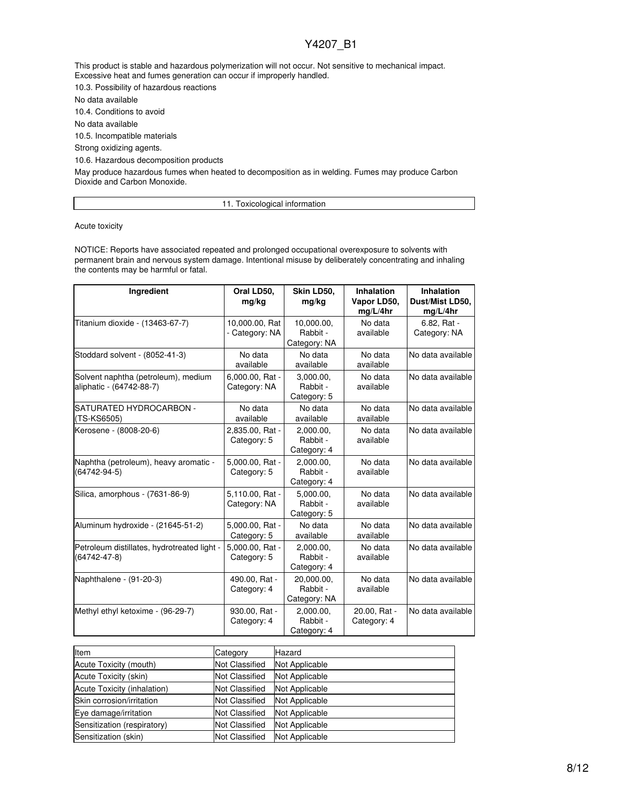This product is stable and hazardous polymerization will not occur. Not sensitive to mechanical impact. Excessive heat and fumes generation can occur if improperly handled.

10.3. Possibility of hazardous reactions

No data available

10.4. Conditions to avoid

No data available

10.5. Incompatible materials

Strong oxidizing agents.

10.6. Hazardous decomposition products

May produce hazardous fumes when heated to decomposition as in welding. Fumes may produce Carbon Dioxide and Carbon Monoxide.

11. Toxicological information

Acute toxicity

NOTICE: Reports have associated repeated and prolonged occupational overexposure to solvents with permanent brain and nervous system damage. Intentional misuse by deliberately concentrating and inhaling the contents may be harmful or fatal.

| Ingredient                                                        | Oral LD50,<br>mg/kg              | Skin LD50,<br>mg/kg                    | <b>Inhalation</b><br>Vapor LD50,<br>mg/L/4hr | Inhalation<br>Dust/Mist LD50,<br>mg/L/4hr |
|-------------------------------------------------------------------|----------------------------------|----------------------------------------|----------------------------------------------|-------------------------------------------|
| Titanium dioxide - (13463-67-7)                                   | 10,000.00, Rat<br>- Category: NA | 10,000.00,<br>Rabbit -<br>Category: NA | No data<br>available                         | 6.82, Rat -<br>Category: NA               |
| Stoddard solvent - (8052-41-3)                                    | No data<br>available             | No data<br>available                   | No data<br>available                         | No data available                         |
| Solvent naphtha (petroleum), medium<br>aliphatic - (64742-88-7)   | 6,000.00, Rat -<br>Category: NA  | 3,000.00,<br>Rabbit -<br>Category: 5   | No data<br>available                         | No data available                         |
| SATURATED HYDROCARBON -<br>(TS-KS6505)                            | No data<br>available             | No data<br>available                   | No data<br>available                         | No data available                         |
| Kerosene - (8008-20-6)                                            | 2,835.00, Rat -<br>Category: 5   | 2.000.00.<br>Rabbit -<br>Category: 4   | No data<br>available                         | No data available                         |
| Naphtha (petroleum), heavy aromatic -<br>$(64742 - 94 - 5)$       | 5,000.00, Rat -<br>Category: 5   | 2,000.00,<br>Rabbit -<br>Category: 4   | No data<br>available                         | No data available                         |
| Silica, amorphous - (7631-86-9)                                   | 5,110.00, Rat -<br>Category: NA  | 5,000.00,<br>Rabbit -<br>Category: 5   | No data<br>available                         | No data available                         |
| Aluminum hydroxide - (21645-51-2)                                 | 5,000.00, Rat -<br>Category: 5   | No data<br>available                   | No data<br>available                         | No data available                         |
| Petroleum distillates, hydrotreated light -<br>$(64742 - 47 - 8)$ | 5,000.00, Rat -<br>Category: 5   | 2,000.00,<br>Rabbit -<br>Category: 4   | No data<br>available                         | No data available                         |
| Naphthalene - (91-20-3)                                           | 490.00, Rat -<br>Category: 4     | 20,000.00,<br>Rabbit -<br>Category: NA | No data<br>available                         | No data available                         |
| Methyl ethyl ketoxime - (96-29-7)                                 | 930.00, Rat -<br>Category: 4     | 2,000.00,<br>Rabbit -<br>Category: 4   | 20.00, Rat -<br>Category: 4                  | No data available                         |

| Item                        | Category              | Hazard         |
|-----------------------------|-----------------------|----------------|
| Acute Toxicity (mouth)      | <b>Not Classified</b> | Not Applicable |
| Acute Toxicity (skin)       | Not Classified        | Not Applicable |
| Acute Toxicity (inhalation) | <b>Not Classified</b> | Not Applicable |
| Skin corrosion/irritation   | Not Classified        | Not Applicable |
| Eye damage/irritation       | Not Classified        | Not Applicable |
| Sensitization (respiratory) | Not Classified        | Not Applicable |
| Sensitization (skin)        | Not Classified        | Not Applicable |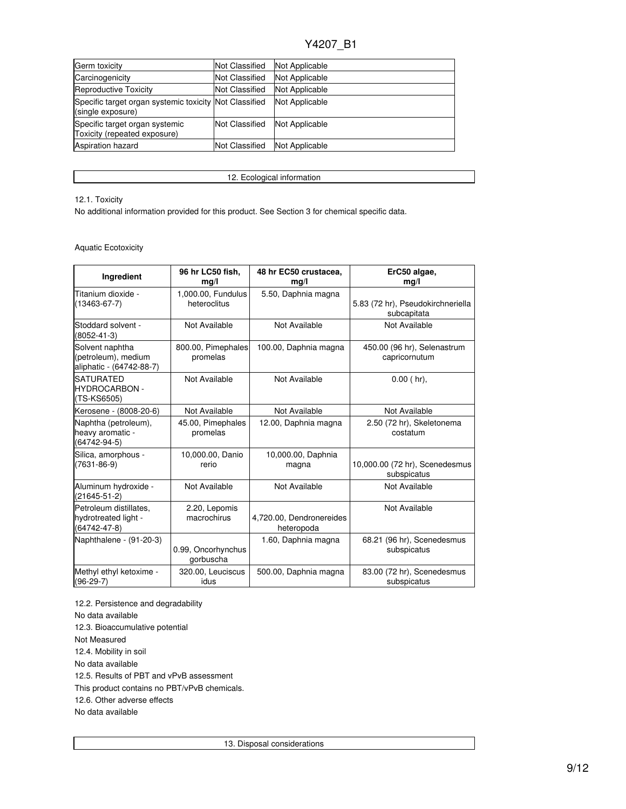| Germ toxicity                                                               | <b>Not Classified</b> | Not Applicable |
|-----------------------------------------------------------------------------|-----------------------|----------------|
| Carcinogenicity                                                             | <b>Not Classified</b> | Not Applicable |
| Reproductive Toxicity                                                       | <b>Not Classified</b> | Not Applicable |
| Specific target organ systemic toxicity Not Classified<br>(single exposure) |                       | Not Applicable |
| Specific target organ systemic<br>Toxicity (repeated exposure)              | <b>Not Classified</b> | Not Applicable |
| <b>Aspiration hazard</b>                                                    | <b>Not Classified</b> | Not Applicable |

12. Ecological information

## 12.1. Toxicity

No additional information provided for this product. See Section 3 for chemical specific data.

## Aquatic Ecotoxicity

| Ingredient                                                           | 96 hr LC50 fish,<br>mq/l           | 48 hr EC50 crustacea,<br>mg/l          | ErC50 algae,<br>mg/l                             |
|----------------------------------------------------------------------|------------------------------------|----------------------------------------|--------------------------------------------------|
| Titanium dioxide -<br>$(13463 - 67 - 7)$                             | 1,000.00, Fundulus<br>heteroclitus | 5.50, Daphnia magna                    | 5.83 (72 hr), Pseudokirchneriella<br>subcapitata |
| Stoddard solvent -<br>$(8052 - 41 - 3)$                              | Not Available                      | Not Available                          | Not Available                                    |
| Solvent naphtha<br>(petroleum), medium<br>aliphatic - (64742-88-7)   | 800.00, Pimephales<br>promelas     | 100.00, Daphnia magna                  | 450.00 (96 hr), Selenastrum<br>capricornutum     |
| <b>SATURATED</b><br>HYDROCARBON -<br>(TS-KS6505)                     | Not Available                      | Not Available                          | $0.00$ (hr).                                     |
| Kerosene - (8008-20-6)                                               | Not Available                      | Not Available                          | Not Available                                    |
| Naphtha (petroleum),<br>heavy aromatic -<br>(64742-94-5)             | 45.00, Pimephales<br>promelas      | 12.00, Daphnia magna                   | 2.50 (72 hr), Skeletonema<br>costatum            |
| Silica, amorphous -<br>$(7631 - 86 - 9)$                             | 10,000.00, Danio<br>rerio          | 10,000.00, Daphnia<br>magna            | 10,000.00 (72 hr), Scenedesmus<br>subspicatus    |
| Aluminum hydroxide -<br>$(21645 - 51 - 2)$                           | Not Available                      | Not Available                          | Not Available                                    |
| Petroleum distillates.<br>hydrotreated light -<br>$(64742 - 47 - 8)$ | 2.20, Lepomis<br>macrochirus       | 4,720.00, Dendronereides<br>heteropoda | Not Available                                    |
| Naphthalene - (91-20-3)                                              | 0.99, Oncorhynchus<br>gorbuscha    | 1.60, Daphnia magna                    | 68.21 (96 hr), Scenedesmus<br>subspicatus        |
| Methyl ethyl ketoxime -<br>$(96-29-7)$                               | 320.00, Leuciscus<br>idus          | 500.00, Daphnia magna                  | 83.00 (72 hr), Scenedesmus<br>subspicatus        |

12.2. Persistence and degradability No data available 12.3. Bioaccumulative potential Not Measured 12.4. Mobility in soil No data available 12.5. Results of PBT and vPvB assessment This product contains no PBT/vPvB chemicals. 12.6. Other adverse effects No data available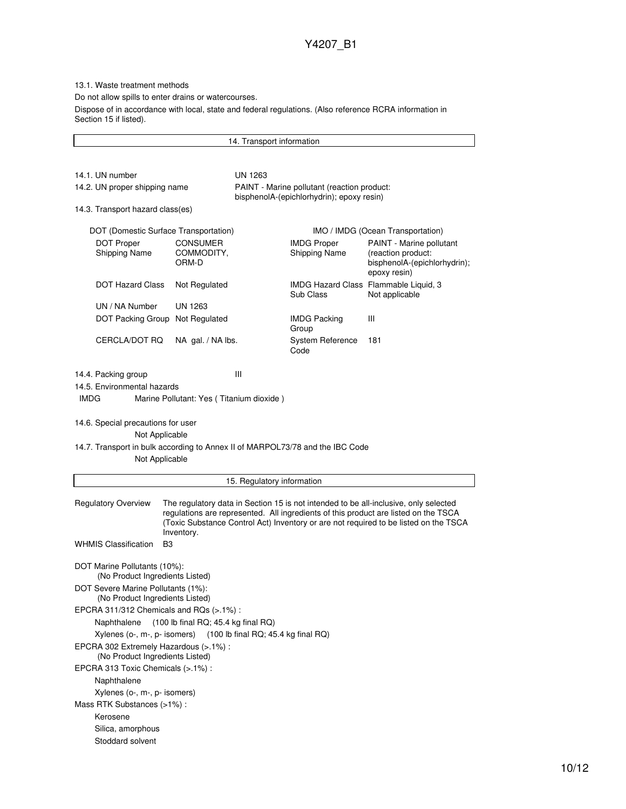13.1. Waste treatment methods

Do not allow spills to enter drains or watercourses.

Dispose of in accordance with local, state and federal regulations. (Also reference RCRA information in Section 15 if listed).

14. Transport information 14.1. UN number UN 1263 14.2. UN proper shipping name PAINT - Marine pollutant (reaction product: bisphenolA-(epichlorhydrin); epoxy resin) 14.3. Transport hazard class(es) DOT (Domestic Surface Transportation) IMO / IMDG (Ocean Transportation) DOT Proper Shipping Name CONSUMER COMMODITY, ORM-D IMDG Proper Shipping Name PAINT - Marine pollutant (reaction product: bisphenolA-(epichlorhydrin); epoxy resin) DOT Hazard Class Not Regulated IMDG Hazard Class Flammable Liquid, 3 Sub Class Not applicable UN / NA Number UN 1263 DOT Packing Group Not Regulated IMDG Packing Group III CERCLA/DOT RQ NA gal. / NA lbs. System Reference Code 181 14.4. Packing group III 14.5. Environmental hazards IMDG Marine Pollutant: Yes ( Titanium dioxide ) 14.6. Special precautions for user Not Applicable 14.7. Transport in bulk according to Annex II of MARPOL73/78 and the IBC Code Not Applicable 15. Regulatory information Regulatory Overview The regulatory data in Section 15 is not intended to be all-inclusive, only selected regulations are represented. All ingredients of this product are listed on the TSCA (Toxic Substance Control Act) Inventory or are not required to be listed on the TSCA Inventory. WHMIS Classification B3 DOT Marine Pollutants (10%): (No Product Ingredients Listed) DOT Severe Marine Pollutants (1%): (No Product Ingredients Listed) EPCRA 311/312 Chemicals and RQs (>.1%) : Naphthalene (100 lb final RQ; 45.4 kg final RQ) Xylenes (o-, m-, p- isomers) (100 lb final RQ; 45.4 kg final RQ) EPCRA 302 Extremely Hazardous (>.1%) : (No Product Ingredients Listed) EPCRA 313 Toxic Chemicals (>.1%) : Naphthalene Xylenes (o-, m-, p- isomers) Mass RTK Substances (>1%) : Kerosene Silica, amorphous Stoddard solvent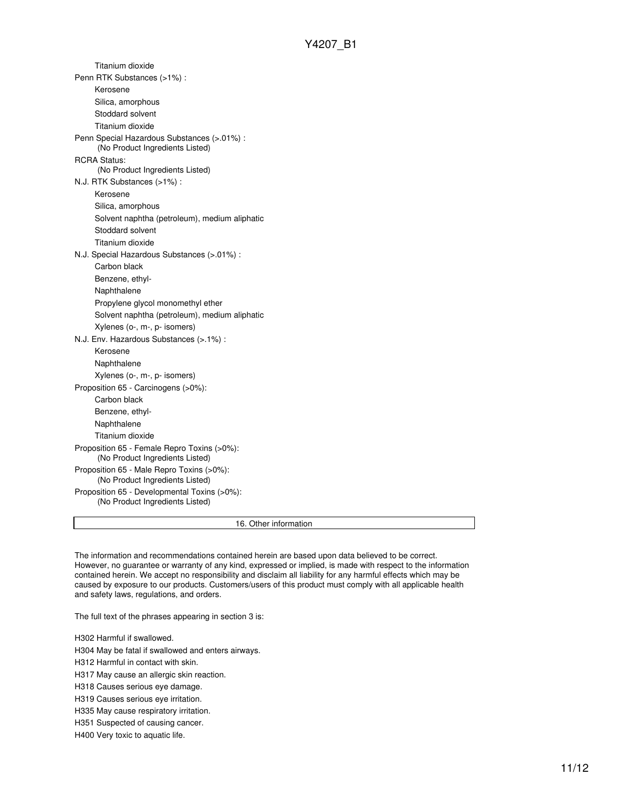Titanium dioxide Penn RTK Substances (>1%) : Kerosene Silica, amorphous Stoddard solvent Titanium dioxide Penn Special Hazardous Substances (>.01%) : (No Product Ingredients Listed) RCRA Status: (No Product Ingredients Listed) N.J. RTK Substances (>1%) : Kerosene Silica, amorphous Solvent naphtha (petroleum), medium aliphatic Stoddard solvent Titanium dioxide N.J. Special Hazardous Substances (>.01%) : Carbon black Benzene, ethyl-Naphthalene Propylene glycol monomethyl ether Solvent naphtha (petroleum), medium aliphatic Xylenes (o-, m-, p- isomers) N.J. Env. Hazardous Substances (>.1%) : Kerosene Naphthalene Xylenes (o-, m-, p- isomers) Proposition 65 - Carcinogens (>0%): Carbon black Benzene, ethyl-Naphthalene Titanium dioxide Proposition 65 - Female Repro Toxins (>0%): (No Product Ingredients Listed) Proposition 65 - Male Repro Toxins (>0%): (No Product Ingredients Listed) Proposition 65 - Developmental Toxins (>0%): (No Product Ingredients Listed)

16. Other information

The information and recommendations contained herein are based upon data believed to be correct. However, no guarantee or warranty of any kind, expressed or implied, is made with respect to the information contained herein. We accept no responsibility and disclaim all liability for any harmful effects which may be caused by exposure to our products. Customers/users of this product must comply with all applicable health and safety laws, regulations, and orders.

The full text of the phrases appearing in section 3 is:

H302 Harmful if swallowed.

H304 May be fatal if swallowed and enters airways.

H312 Harmful in contact with skin.

H317 May cause an allergic skin reaction.

H318 Causes serious eye damage.

H319 Causes serious eye irritation.

H335 May cause respiratory irritation.

H351 Suspected of causing cancer.

H400 Very toxic to aquatic life.